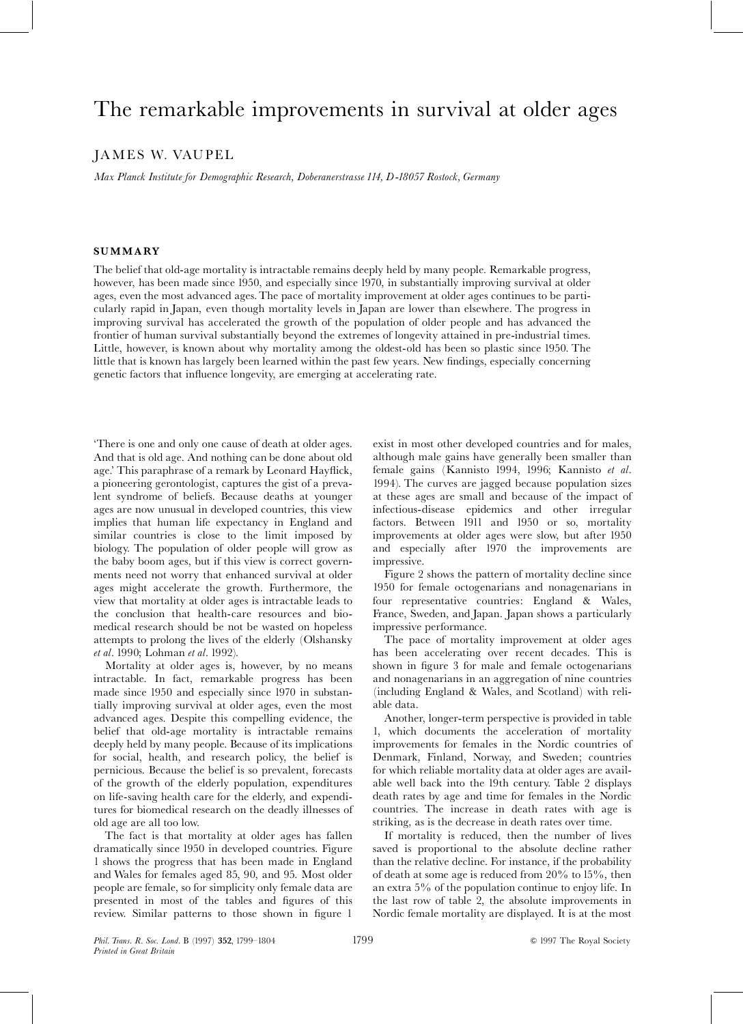## The remarkable improvements in survival at older ages

JAMES W. VAUPEL

Max Planck Institute for Demographic Research, Doberanerstrasse 114, D-18057 Rostock, Germany

## SUMMARY

The belief that old-age mortality is intractable remains deeply held by many people. Remarkable progress, however, has been made since 1950, and especially since 1970, in substantially improving survival at older ages, even the most advanced ages. The pace of mortality improvement at older ages continues to be particularly rapid in Japan, even though mortality levels in Japan are lower than elsewhere. The progress in improving survival has accelerated the growth of the population of older people and has advanced the frontier of human survival substantially beyond the extremes of longevity attained in pre-industrial times. Little, however, is known about why mortality among the oldest-old has been so plastic since 1950. The little that is known has largely been learned within the past few years. New findings, especially concerning genetic factors that influence longevity, are emerging at accelerating rate.

`There is one and only one cause of death at older ages. And that is old age. And nothing can be done about old age.' This paraphrase of a remark by Leonard Hayflick, a pioneering gerontologist, captures the gist of a prevalent syndrome of beliefs. Because deaths at younger ages are now unusual in developed countries, this view implies that human life expectancy in England and similar countries is close to the limit imposed by biology. The population of older people will grow as the baby boom ages, but if this view is correct governments need not worry that enhanced survival at older ages might accelerate the growth. Furthermore, the view that mortality at older ages is intractable leads to the conclusion that health-care resources and biomedical research should be not be wasted on hopeless attempts to prolong the lives of the elderly (Olshansky et al. 1990; Lohman et al. 1992).

Mortality at older ages is, however, by no means intractable. In fact, remarkable progress has been made since 1950 and especially since 1970 in substantially improving survival at older ages, even the most advanced ages. Despite this compelling evidence, the belief that old-age mortality is intractable remains deeply held by many people. Because of its implications for social, health, and research policy, the belief is pernicious. Because the belief is so prevalent, forecasts of the growth of the elderly population, expenditures on life-saving health care for the elderly, and expenditures for biomedical research on the deadly illnesses of old age are all too low.

The fact is that mortality at older ages has fallen dramatically since 1950 in developed countries. Figure 1 shows the progress that has been made in England and Wales for females aged 85, 90, and 95. Most older people are female, so for simplicity only female data are presented in most of the tables and figures of this review. Similar patterns to those shown in figure 1

exist in most other developed countries and for males, although male gains have generally been smaller than female gains (Kannisto 1994, 1996; Kannisto et al. 1994). The curves are jagged because population sizes at these ages are small and because of the impact of infectious-disease epidemics and other irregular factors. Between 1911 and 1950 or so, mortality improvements at older ages were slow, but after 1950 and especially after 1970 the improvements are impressive.

Figure 2 shows the pattern of mortality decline since 1950 for female octogenarians and nonagenarians in four representative countries: England & Wales, France, Sweden, and Japan. Japan shows a particularly impressive performance.

The pace of mortality improvement at older ages has been accelerating over recent decades. This is shown in figure 3 for male and female octogenarians and nonagenarians in an aggregation of nine countries (including England & Wales, and Scotland) with reliable data.

Another, longer-term perspective is provided in table 1, which documents the acceleration of mortality improvements for females in the Nordic countries of Denmark, Finland, Norway, and Sweden; countries for which reliable mortality data at older ages are available well back into the 19th century. Table 2 displays death rates by age and time for females in the Nordic countries. The increase in death rates with age is striking, as is the decrease in death rates over time.

If mortality is reduced, then the number of lives saved is proportional to the absolute decline rather than the relative decline. For instance, if the probability of death at some age is reduced from 20% to 15%, then an extra 5% of the population continue to enjoy life. In the last row of table 2, the absolute improvements in Nordic female mortality are displayed. It is at the most

Phil. Trans. R. Soc. Lond. B (1997) 352, 1799-1804 1799 1804 1799 (1997 The Royal Society Printed in Great Britain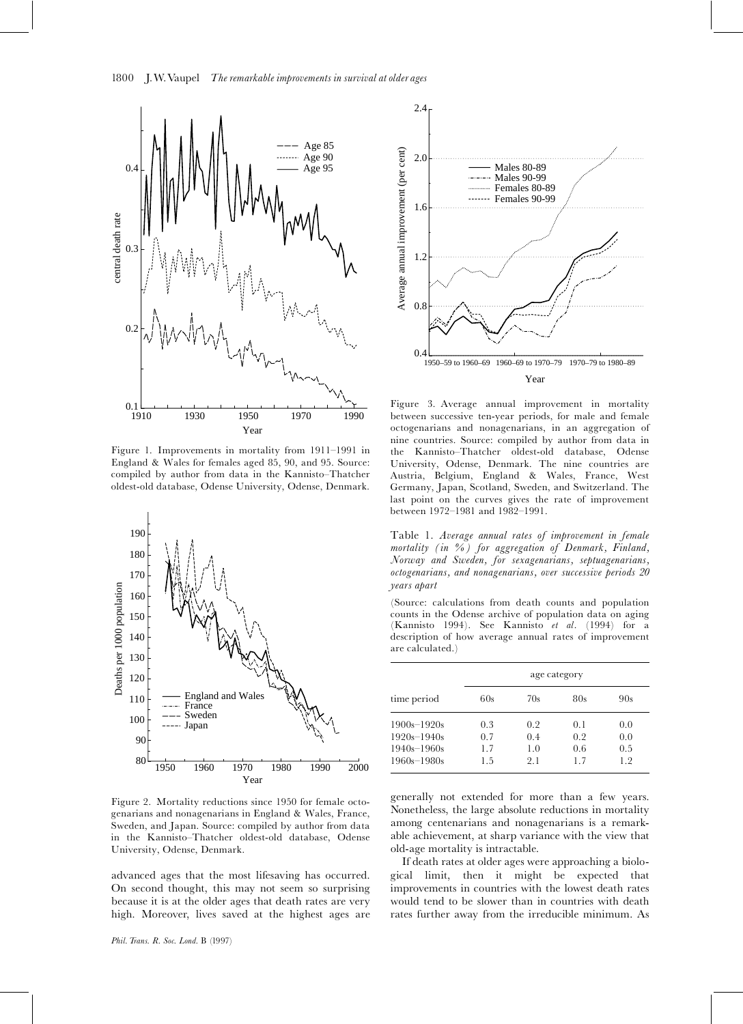

Figure 1. Improvements in mortality from 1911-1991 in England & Wales for females aged 85, 90, and 95. Source: compiled by author from data in the Kannisto-Thatcher oldest-old database, Odense University, Odense, Denmark.



Figure 2. Mortality reductions since 1950 for female octogenarians and nonagenarians in England & Wales, France, Sweden, and Japan. Source: compiled by author from data in the Kannisto-Thatcher oldest-old database, Odense University, Odense, Denmark.

advanced ages that the most lifesaving has occurred. On second thought, this may not seem so surprising because it is at the older ages that death rates are very high. Moreover, lives saved at the highest ages are



Figure 3. Average annual improvement in mortality between successive ten-year periods, for male and female octogenarians and nonagenarians, in an aggregation of nine countries. Source: compiled by author from data in the Kannisto^Thatcher oldest-old database, Odense University, Odense, Denmark. The nine countries are Austria, Belgium, England & Wales, France, West Germany, Japan, Scotland, Sweden, and Switzerland. The last point on the curves gives the rate of improvement between 1972^1981 and 1982^1991.

Table 1. Average annual rates of improvement in female mortality (in %) for aggregation of Denmark, Finland, Norway and Sweden, for sexagenarians, septuagenarians, octogenarians, and nonagenarians, over successive periods 20 years apart

(Source: calculations from death counts and population counts in the Odense archive of population data on aging (Kannisto 1994). See Kannisto et al. (1994) for a description of how average annual rates of improvement are calculated.)

| time period                                                              | age category             |                          |                          |                          |  |
|--------------------------------------------------------------------------|--------------------------|--------------------------|--------------------------|--------------------------|--|
|                                                                          | 60s                      | 70s                      | 80s                      | 90s                      |  |
| $1900s - 1920s$<br>$1920s - 1940s$<br>$1940s - 1960s$<br>$1960s - 1980s$ | 0.3<br>0.7<br>1.7<br>1.5 | 0.2<br>0.4<br>1.0<br>2.1 | 0.1<br>0.2<br>0.6<br>1.7 | 0.0<br>0.0<br>0.5<br>1.2 |  |

generally not extended for more than a few years. Nonetheless, the large absolute reductions in mortality among centenarians and nonagenarians is a remarkable achievement, at sharp variance with the view that old-age mortality is intractable.

If death rates at older ages were approaching a biological limit, then it might be expected that improvements in countries with the lowest death rates would tend to be slower than in countries with death rates further away from the irreducible minimum. As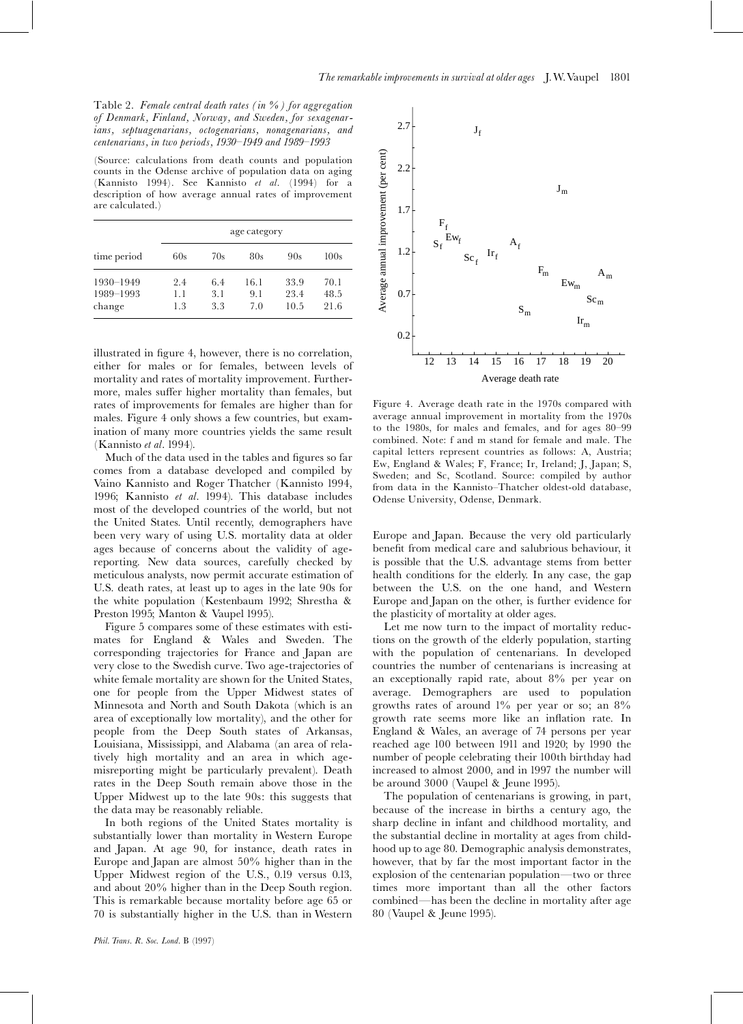Table 2. Female central death rates (in  $\%$ ) for aggregation of Denmark, Finland, Norway, and Sweden, for sexagenarians, septuagenarians, octogenarians, nonagenarians, and centenarians, in two periods, 1930-1949 and 1989-1993

(Source: calculations from death counts and population counts in the Odense archive of population data on aging (Kannisto 1994). See Kannisto et al. (1994) for a description of how average annual rates of improvement are calculated.)

| time period                      | age category      |                   |                    |                      |                      |  |
|----------------------------------|-------------------|-------------------|--------------------|----------------------|----------------------|--|
|                                  | 60s               | 70s               | 80s                | 90s                  | 100s                 |  |
| 1930-1949<br>1989-1993<br>change | 2.4<br>1.1<br>1.3 | 6.4<br>3.1<br>3.3 | 16.1<br>9.1<br>7.0 | 33.9<br>23.4<br>10.5 | 70.1<br>48.5<br>21.6 |  |

illustrated in ¢gure 4, however, there is no correlation, either for males or for females, between levels of mortality and rates of mortality improvement. Furthermore, males suffer higher mortality than females, but rates of improvements for females are higher than for males. Figure 4 only shows a few countries, but examination of many more countries yields the same result (Kannisto et al. 1994).

Much of the data used in the tables and figures so far comes from a database developed and compiled by Vaino Kannisto and Roger Thatcher (Kannisto 1994, 1996; Kannisto et al. 1994). This database includes most of the developed countries of the world, but not the United States. Until recently, demographers have been very wary of using U.S. mortality data at older ages because of concerns about the validity of agereporting. New data sources, carefully checked by meticulous analysts, now permit accurate estimation of U.S. death rates, at least up to ages in the late 90s for the white population (Kestenbaum 1992; Shrestha & Preston 1995; Manton & Vaupel 1995).

Figure 5 compares some of these estimates with estimates for England & Wales and Sweden. The corresponding trajectories for France and Japan are very close to the Swedish curve. Two age-trajectories of white female mortality are shown for the United States, one for people from the Upper Midwest states of Minnesota and North and South Dakota (which is an area of exceptionally low mortality), and the other for people from the Deep South states of Arkansas, Louisiana, Mississippi, and Alabama (an area of relatively high mortality and an area in which agemisreporting might be particularly prevalent). Death rates in the Deep South remain above those in the Upper Midwest up to the late 90s: this suggests that the data may be reasonably reliable.

In both regions of the United States mortality is substantially lower than mortality in Western Europe and Japan. At age 90, for instance, death rates in Europe and Japan are almost 50% higher than in the Upper Midwest region of the U.S., 0.19 versus 0.13, and about 20% higher than in the Deep South region. This is remarkable because mortality before age 65 or 70 is substantially higher in the U.S. than in Western



Figure 4. Average death rate in the 1970s compared with average annual improvement in mortality from the 1970s to the 1980s, for males and females, and for ages 80^99 combined. Note: f and m stand for female and male. The capital letters represent countries as follows: A, Austria; Ew, England & Wales; F, France; Ir, Ireland; J, Japan; S, Sweden; and Sc, Scotland. Source: compiled by author from data in the Kannisto-Thatcher oldest-old database, Odense University, Odense, Denmark.

Europe and Japan. Because the very old particularly benefit from medical care and salubrious behaviour, it is possible that the U.S. advantage stems from better health conditions for the elderly. In any case, the gap between the U.S. on the one hand, and Western Europe and Japan on the other, is further evidence for the plasticity of mortality at older ages.

Let me now turn to the impact of mortality reductions on the growth of the elderly population, starting with the population of centenarians. In developed countries the number of centenarians is increasing at an exceptionally rapid rate, about 8% per year on average. Demographers are used to population growths rates of around 1% per year or so; an 8% growth rate seems more like an inflation rate. In England & Wales, an average of 74 persons per year reached age 100 between 1911 and 1920; by 1990 the number of people celebrating their 100th birthday had increased to almost 2000, and in 1997 the number will be around 3000 (Vaupel & Jeune 1995).

The population of centenarians is growing, in part, because of the increase in births a century ago, the sharp decline in infant and childhood mortality, and the substantial decline in mortality at ages from childhood up to age 80. Demographic analysis demonstrates, however, that by far the most important factor in the explosion of the centenarian population—two or three times more important than all the other factors combined—has been the decline in mortality after age 80 (Vaupel & Jeune 1995).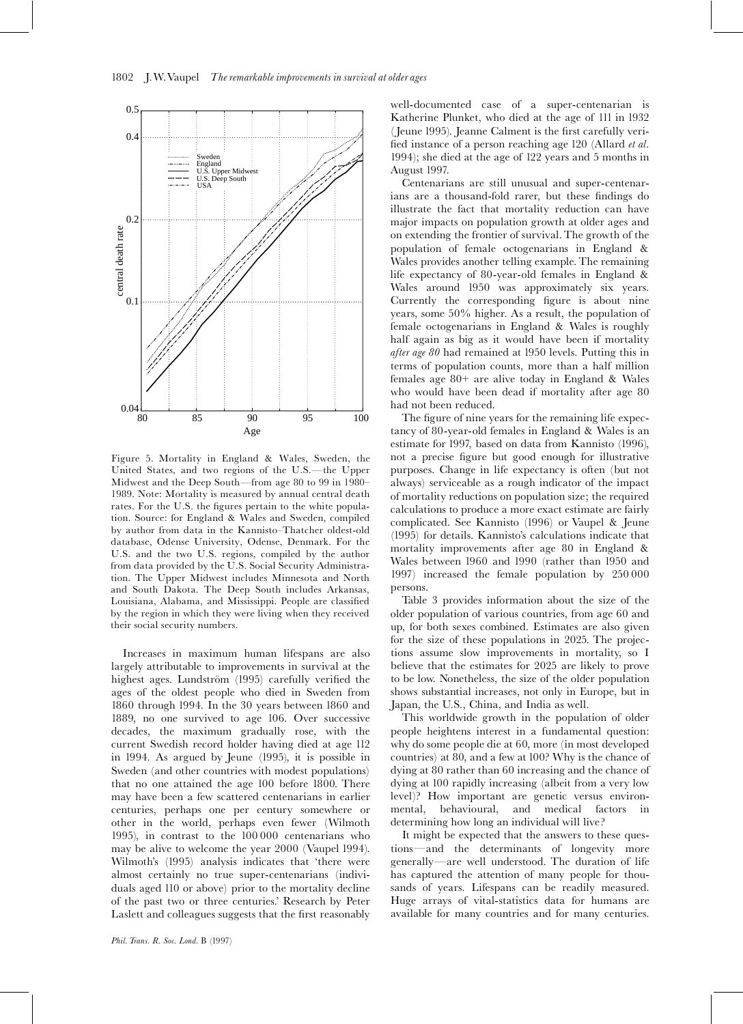

Figure 5. Mortality in England & Wales, Sweden, the United States, and two regions of the U.S.-the Upper Midwest and the Deep South—from age 80 to 99 in 1980-1989. Note: Mortality is measured by annual central death rates. For the U.S. the figures pertain to the white population. Source: for England & Wales and Sweden, compiled by author from data in the Kannisto^Thatcher oldest-old database, Odense University, Odense, Denmark. For the U.S. and the two U.S. regions, compiled by the author from data provided by the U.S. Social Security Administration. The Upper Midwest includes Minnesota and North and South Dakota. The Deep South includes Arkansas, Louisiana, Alabama, and Mississippi. People are classified by the region in which they were living when they received their social security numbers.

Increases in maximum human lifespans are also largely attributable to improvements in survival at the highest ages. Lundström (1995) carefully verified the ages of the oldest people who died in Sweden from 1860 through 1994. In the 30 years between 1860 and 1889, no one survived to age 106. Over successive decades, the maximum gradually rose, with the current Swedish record holder having died at age 112 in 1994. As argued by Jeune (1995), it is possible in Sweden (and other countries with modest populations) that no one attained the age 100 before 1800. There may have been a few scattered centenarians in earlier centuries, perhaps one per century somewhere or other in the world, perhaps even fewer (Wilmoth 1995), in contrast to the 100 000 centenarians who may be alive to welcome the year 2000 (Vaupel 1994). Wilmoth's (1995) analysis indicates that `there were almost certainly no true super-centenarians (individuals aged 110 or above) prior to the mortality decline of the past two or three centuries.' Research by Peter Laslett and colleagues suggests that the first reasonably

Phil. Trans. R. Soc. Lond. B (1997)

well-documented case of a super-centenarian is Katherine Plunket, who died at the age of 111 in 1932 (Jeune 1995). Jeanne Calment is the first carefully verified instance of a person reaching age  $120$  (Allard et al. 1994); she died at the age of 122 years and 5 months in August 1997.

Centenarians are still unusual and super-centenarians are a thousand-fold rarer, but these findings do illustrate the fact that mortality reduction can have major impacts on population growth at older ages and on extending the frontier of survival. The growth of the population of female octogenarians in England & Wales provides another telling example. The remaining life expectancy of 80-year-old females in England & Wales around 1950 was approximately six years. Currently the corresponding figure is about nine years, some 50% higher. As a result, the population of female octogenarians in England & Wales is roughly half again as big as it would have been if mortality after age 80 had remained at 1950 levels. Putting this in terms of population counts, more than a half million females age 80+ are alive today in England & Wales who would have been dead if mortality after age 80 had not been reduced.

The figure of nine years for the remaining life expectancy of 80-year-old females in England & Wales is an estimate for 1997, based on data from Kannisto (1996), not a precise figure but good enough for illustrative purposes. Change in life expectancy is often (but not always) serviceable as a rough indicator of the impact of mortality reductions on population size; the required calculations to produce a more exact estimate are fairly complicated. See Kannisto (1996) or Vaupel & Jeune (1995) for details. Kannisto's calculations indicate that mortality improvements after age 80 in England & Wales between 1960 and 1990 (rather than 1950 and 1997) increased the female population by 250 000 persons.

Table 3 provides information about the size of the older population of various countries, from age 60 and up, for both sexes combined. Estimates are also given for the size of these populations in 2025. The projections assume slow improvements in mortality, so I believe that the estimates for 2025 are likely to prove to be low. Nonetheless, the size of the older population shows substantial increases, not only in Europe, but in Japan, the U.S., China, and India as well.

This worldwide growth in the population of older people heightens interest in a fundamental question: why do some people die at 60, more (in most developed countries) at 80, and a few at 100? Why is the chance of dying at 80 rather than 60 increasing and the chance of dying at 100 rapidly increasing (albeit from a very low level)? How important are genetic versus environmental, behavioural, and medical factors in determining how long an individual will live?

It might be expected that the answers to these questions—and the determinants of longevity more generally—are well understood. The duration of life has captured the attention of many people for thousands of years. Lifespans can be readily measured. Huge arrays of vital-statistics data for humans are available for many countries and for many centuries.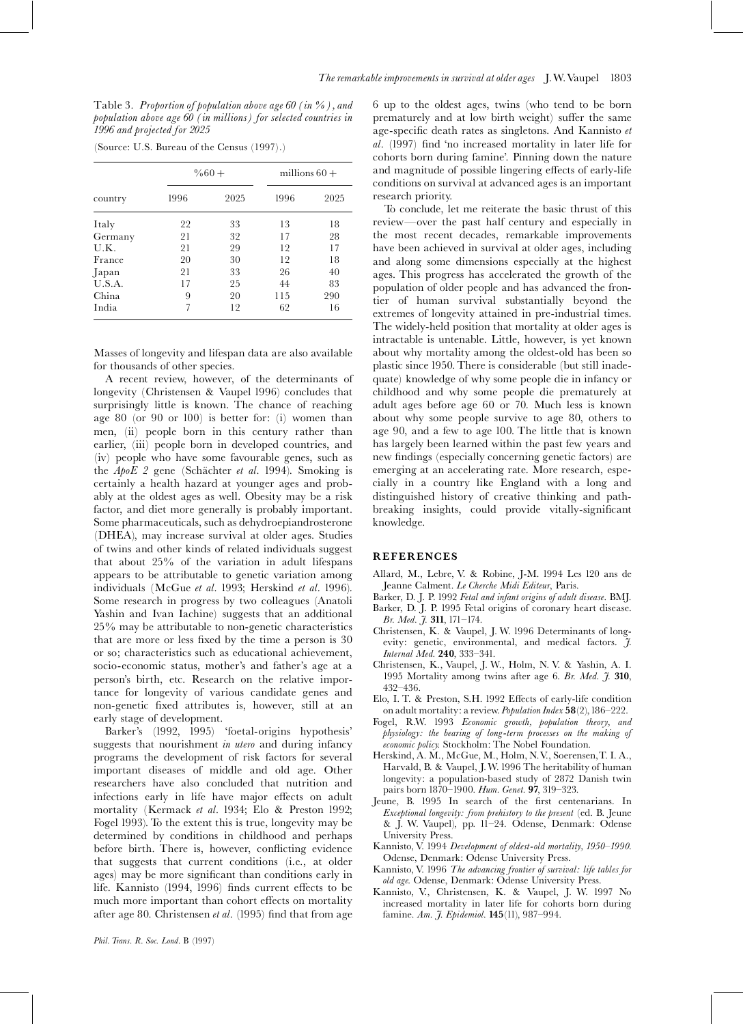Table 3. Proportion of population above age 60 (in  $\%$ ), and population above age 60 (in millions) for selected countries in 1996 and projected for 2025

|         |      | $\%60+$ | millions $60+$ |      |  |
|---------|------|---------|----------------|------|--|
| country | 1996 | 2025    | 1996           | 2025 |  |
| Italy   | 22   | 33      | 13             | 18   |  |
| Germany | 21   | 32      | 17             | 28   |  |
| U.K.    | 21   | 29      | 12             | 17   |  |
| France  | 20   | 30      | 12             | 18   |  |
| Japan   | 21   | 33      | 26             | 40   |  |
| U.S.A.  | 17   | 25      | 44             | 83   |  |
| China   | 9    | 20      | 115            | 290  |  |
| India   | 7    | 12      | 62             | 16   |  |

(Source: U.S. Bureau of the Census (1997).)

Masses of longevity and lifespan data are also available for thousands of other species.

A recent review, however, of the determinants of longevity (Christensen & Vaupel 1996) concludes that surprisingly little is known. The chance of reaching age 80 (or 90 or 100) is better for: (i) women than men, (ii) people born in this century rather than earlier, (iii) people born in developed countries, and (iv) people who have some favourable genes, such as the  $ApoE$  2 gene (Schächter et al. 1994). Smoking is certainly a health hazard at younger ages and probably at the oldest ages as well. Obesity may be a risk factor, and diet more generally is probably important. Some pharmaceuticals, such as dehydroepiandrosterone (DHEA), may increase survival at older ages. Studies of twins and other kinds of related individuals suggest that about 25% of the variation in adult lifespans appears to be attributable to genetic variation among individuals (McGue et al. 1993; Herskind et al. 1996). Some research in progress by two colleagues (Anatoli Yashin and Ivan Iachine) suggests that an additional 25% may be attributable to non-genetic characteristics that are more or less fixed by the time a person is 30 or so; characteristics such as educational achievement, socio-economic status, mother's and father's age at a person's birth, etc. Research on the relative importance for longevity of various candidate genes and non-genetic fixed attributes is, however, still at an early stage of development.

Barker's (1992, 1995) 'foetal-origins hypothesis' suggests that nourishment in utero and during infancy programs the development of risk factors for several important diseases of middle and old age. Other researchers have also concluded that nutrition and infections early in life have major effects on adult mortality (Kermack et al. 1934; Elo & Preston 1992; Fogel 1993). To the extent this is true, longevity may be determined by conditions in childhood and perhaps before birth. There is, however, conflicting evidence that suggests that current conditions (i.e., at older ages) may be more significant than conditions early in life. Kannisto (1994, 1996) finds current effects to be much more important than cohort effects on mortality after age 80. Christensen et al.  $(1995)$  find that from age

6 up to the oldest ages, twins (who tend to be born prematurely and at low birth weight) suffer the same age-specific death rates as singletons. And Kannisto  $et$ al. (1997) find 'no increased mortality in later life for cohorts born during famine'. Pinning down the nature and magnitude of possible lingering effects of early-life conditions on survival at advanced ages is an important research priority.

To conclude, let me reiterate the basic thrust of this review—over the past half century and especially in the most recent decades, remarkable improvements have been achieved in survival at older ages, including and along some dimensions especially at the highest ages. This progress has accelerated the growth of the population of older people and has advanced the frontier of human survival substantially beyond the extremes of longevity attained in pre-industrial times. The widely-held position that mortality at older ages is intractable is untenable. Little, however, is yet known about why mortality among the oldest-old has been so plastic since 1950. There is considerable (but still inadequate) knowledge of why some people die in infancy or childhood and why some people die prematurely at adult ages before age 60 or 70. Much less is known about why some people survive to age 80, others to age 90, and a few to age 100. The little that is known has largely been learned within the past few years and new findings (especially concerning genetic factors) are emerging at an accelerating rate. More research, especially in a country like England with a long and distinguished history of creative thinking and pathbreaking insights, could provide vitally-significant knowledge.

## **REFERENCES**

- Allard, M., Lebre, V. & Robine, J-M. 1994 Les 120 ans de Jeanne Calment. Le Cherche Midi Editeur, Paris.
- Barker, D. J. P. 1992 Fetal and infant origins of adult disease. BMJ.
- Barker, D. J. P. 1995 Fetal origins of coronary heart disease. Br. Med. J. 311, 171-174.
- Christensen, K. & Vaupel, J. W. 1996 Determinants of longevity: genetic, environmental, and medical factors.  $\tilde{J}$ . *Internal Med.*  $240, 333 - 341$ .
- Christensen, K., Vaupel, J. W., Holm, N. V. & Yashin, A. I. 1995 Mortality among twins after age 6. Br. Med.  $J.$  310, 432^436.
- Elo, I. T. & Preston, S.H. 1992 Effects of early-life condition on adult mortality: a review. Population Index  $\mathbf{58}(2)$ ,  $186-222$ .
- Fogel, R.W. 1993 Economic growth, population theory, and physiology: the bearing of long-term processes on the making of economic policy. Stockholm: The Nobel Foundation.
- Herskind, A. M., McGue, M., Holm, N.V., Soerensen,T. I. A., Harvald, B. & Vaupel, J.W. 1996 The heritability of human longevity: a population-based study of 2872 Danish twin pairs born 1870-1900. Hum. Genet. 97, 319-323.
- Jeune, B. 1995 In search of the first centenarians. In Exceptional longevity: from prehistory to the present (ed. B. Jeune & J. W. Vaupel), pp. 11^24. Odense, Denmark: Odense University Press.
- Kannisto, V. 1994 Development of oldest-old mortality, 1950–1990. Odense, Denmark: Odense University Press.
- Kannisto, V. 1996 The advancing frontier of survival: life tables for old age. Odense, Denmark: Odense University Press.
- Kannisto, V., Christensen, K. & Vaupel, J. W. 1997 No increased mortality in later life for cohorts born during famine. Am. J. Epidemiol. **145**(11), 987-994.